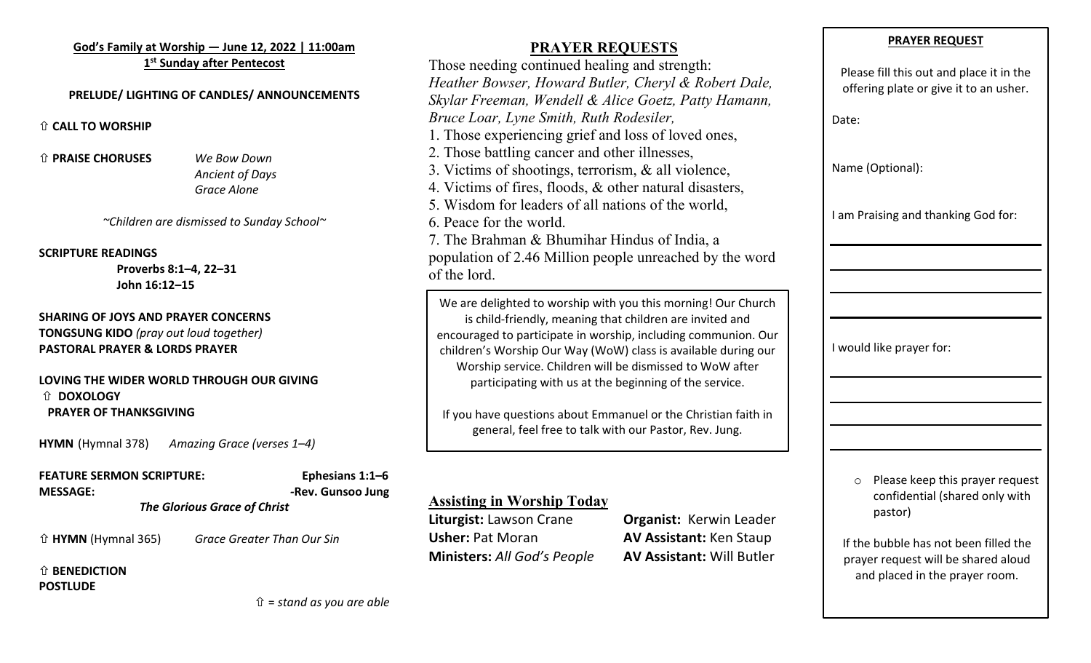#### **God's Family at Worship — June 12, 2022 | 11:00am 1st Sunday after Pentecost**

#### **PRELUDE/ LIGHTING OF CANDLES/ ANNOUNCEMENTS**

#### ñ **CALL TO WORSHIP**

ñ **PRAISE CHORUSES** *We Bow Down*

*Ancient of Days Grace Alone*

#### *~Children are dismissed to Sunday School~*

#### **SCRIPTURE READINGS**

**Proverbs 8:1–4, 22–31 John 16:12–15**

**SHARING OF JOYS AND PRAYER CONCERNS TONGSUNG KIDO** *(pray out loud together)* **PASTORAL PRAYER & LORDS PRAYER**

#### **LOVING THE WIDER WORLD THROUGH OUR GIVING** ñ **DOXOLOGY PRAYER OF THANKSGIVING**

**HYMN** (Hymnal 378) *Amazing Grace (verses 1–4)*

**FEATURE SERMON SCRIPTURE: Ephesians 1:1–6 MESSAGE:** *-***Rev. Gunsoo Jung** *The Glorious Grace of Christ*

ñ **HYMN** (Hymnal 365) *Grace Greater Than Our Sin*

#### ñ **BENEDICTION POSTLUDE**

**PRAYER REQUESTS**

Those needing continued healing and strength: *Heather Bowser, Howard Butler, Cheryl & Robert Dale, Skylar Freeman, Wendell & Alice Goetz, Patty Hamann, Bruce Loar, Lyne Smith, Ruth Rodesiler,*  1. Those experiencing grief and loss of loved ones, 2. Those battling cancer and other illnesses, 3. Victims of shootings, terrorism, & all violence, 4. Victims of fires, floods, & other natural disasters, 5. Wisdom for leaders of all nations of the world, 6. Peace for the world. 7. The Brahman & Bhumihar Hindus of India, a population of 2.46 Million people unreached by the word of the lord. We are delighted to worship with you this morning! Our Church is child-friendly, meaning that children are invited and encouraged to participate in worship, including communion. Our

children's Worship Our Way (WoW) class is available during our Worship service. Children will be dismissed to WoW after participating with us at the beginning of the service.

If you have questions about Emmanuel or the Christian faith in general, feel free to talk with our Pastor, Rev. Jung.

## **Assisting in Worship Today**

**Liturgist:** Lawson Crane **Organist:** Kerwin Leader **Usher: Pat Moran <b>AV Assistant:** Ken Staup **Ministers:** *All God's People* **AV Assistant:** Will Butler

#### **PRAYER REQUEST**

Please fill this out and place it in the offering plate or give it to an usher.

Date:

Name (Optional):

I am Praising and thanking God for:

I would like prayer for:

o Please keep this prayer request confidential (shared only with pastor)

If the bubble has not been filled the prayer request will be shared aloud and placed in the prayer room.

ñ = *stand as you are able*